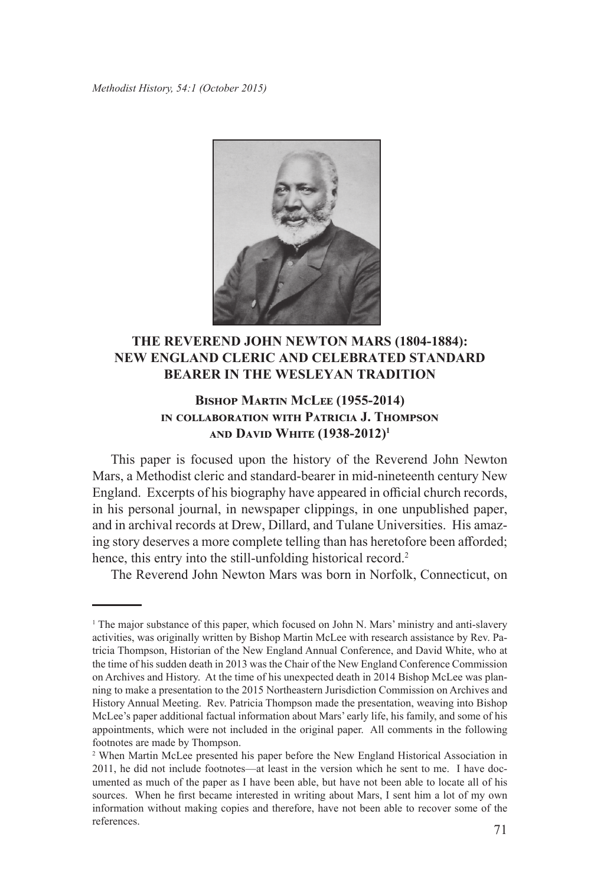*Methodist History, 54:1 (October 2015)*



## **THE REVEREND JOHN NEWTON MARS (1804-1884): NEW ENGLAND CLERIC AND CELEBRATED STANDARD BEARER IN THE WESLEYAN TRADITION**

## **Bishop Martin McLee (1955-2014) in collaboration with Patricia J. Thompson and David White (1938-2012)<sup>1</sup>**

This paper is focused upon the history of the Reverend John Newton Mars, a Methodist cleric and standard-bearer in mid-nineteenth century New England. Excerpts of his biography have appeared in official church records, in his personal journal, in newspaper clippings, in one unpublished paper, and in archival records at Drew, Dillard, and Tulane Universities. His amazing story deserves a more complete telling than has heretofore been afforded; hence, this entry into the still-unfolding historical record.<sup>2</sup>

The Reverend John Newton Mars was born in Norfolk, Connecticut, on

<sup>&</sup>lt;sup>1</sup> The major substance of this paper, which focused on John N. Mars' ministry and anti-slavery activities, was originally written by Bishop Martin McLee with research assistance by Rev. Patricia Thompson, Historian of the New England Annual Conference, and David White, who at the time of his sudden death in 2013 was the Chair of the New England Conference Commission on Archives and History. At the time of his unexpected death in 2014 Bishop McLee was planning to make a presentation to the 2015 Northeastern Jurisdiction Commission on Archives and History Annual Meeting. Rev. Patricia Thompson made the presentation, weaving into Bishop McLee's paper additional factual information about Mars' early life, his family, and some of his appointments, which were not included in the original paper. All comments in the following footnotes are made by Thompson.

<sup>&</sup>lt;sup>2</sup> When Martin McLee presented his paper before the New England Historical Association in 2011, he did not include footnotes—at least in the version which he sent to me. I have documented as much of the paper as I have been able, but have not been able to locate all of his sources. When he first became interested in writing about Mars, I sent him a lot of my own information without making copies and therefore, have not been able to recover some of the references. 71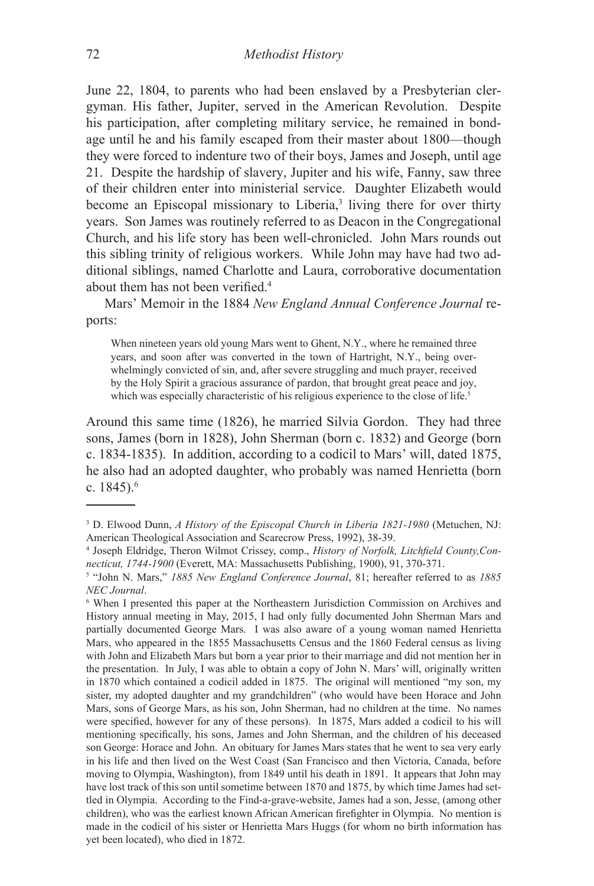June 22, 1804, to parents who had been enslaved by a Presbyterian clergyman. His father, Jupiter, served in the American Revolution. Despite his participation, after completing military service, he remained in bondage until he and his family escaped from their master about 1800—though they were forced to indenture two of their boys, James and Joseph, until age 21. Despite the hardship of slavery, Jupiter and his wife, Fanny, saw three of their children enter into ministerial service. Daughter Elizabeth would become an Episcopal missionary to Liberia,<sup>3</sup> living there for over thirty years. Son James was routinely referred to as Deacon in the Congregational Church, and his life story has been well-chronicled. John Mars rounds out this sibling trinity of religious workers. While John may have had two additional siblings, named Charlotte and Laura, corroborative documentation about them has not been verified.<sup>4</sup>

Mars' Memoir in the 1884 *New England Annual Conference Journal* reports:

When nineteen years old young Mars went to Ghent, N.Y., where he remained three years, and soon after was converted in the town of Hartright, N.Y., being overwhelmingly convicted of sin, and, after severe struggling and much prayer, received by the Holy Spirit a gracious assurance of pardon, that brought great peace and joy, which was especially characteristic of his religious experience to the close of life.<sup>5</sup>

Around this same time (1826), he married Silvia Gordon. They had three sons, James (born in 1828), John Sherman (born c. 1832) and George (born c. 1834-1835). In addition, according to a codicil to Mars' will, dated 1875, he also had an adopted daughter, who probably was named Henrietta (born c. 1845).6

<sup>&</sup>lt;sup>3</sup> D. Elwood Dunn, *A History of the Episcopal Church in Liberia 1821-1980* (Metuchen, NJ: American Theological Association and Scarecrow Press, 1992), 38-39.

<sup>4</sup> Joseph Eldridge, Theron Wilmot Crissey, comp., *History of Norfolk, Litchfield County,Connecticut, 1744-1900* (Everett, MA: Massachusetts Publishing, 1900), 91, 370-371.

<sup>5</sup> "John N. Mars," *1885 New England Conference Journal*, 81; hereafter referred to as *1885 NEC Journal*.

<sup>6</sup> When I presented this paper at the Northeastern Jurisdiction Commission on Archives and History annual meeting in May, 2015, I had only fully documented John Sherman Mars and partially documented George Mars. I was also aware of a young woman named Henrietta Mars, who appeared in the 1855 Massachusetts Census and the 1860 Federal census as living with John and Elizabeth Mars but born a year prior to their marriage and did not mention her in the presentation. In July, I was able to obtain a copy of John N. Mars' will, originally written in 1870 which contained a codicil added in 1875. The original will mentioned "my son, my sister, my adopted daughter and my grandchildren" (who would have been Horace and John Mars, sons of George Mars, as his son, John Sherman, had no children at the time. No names were specified, however for any of these persons). In 1875, Mars added a codicil to his will mentioning specifically, his sons, James and John Sherman, and the children of his deceased son George: Horace and John. An obituary for James Mars states that he went to sea very early in his life and then lived on the West Coast (San Francisco and then Victoria, Canada, before moving to Olympia, Washington), from 1849 until his death in 1891. It appears that John may have lost track of this son until sometime between 1870 and 1875, by which time James had settled in Olympia. According to the Find-a-grave-website, James had a son, Jesse, (among other children), who was the earliest known African American firefighter in Olympia. No mention is made in the codicil of his sister or Henrietta Mars Huggs (for whom no birth information has yet been located), who died in 1872.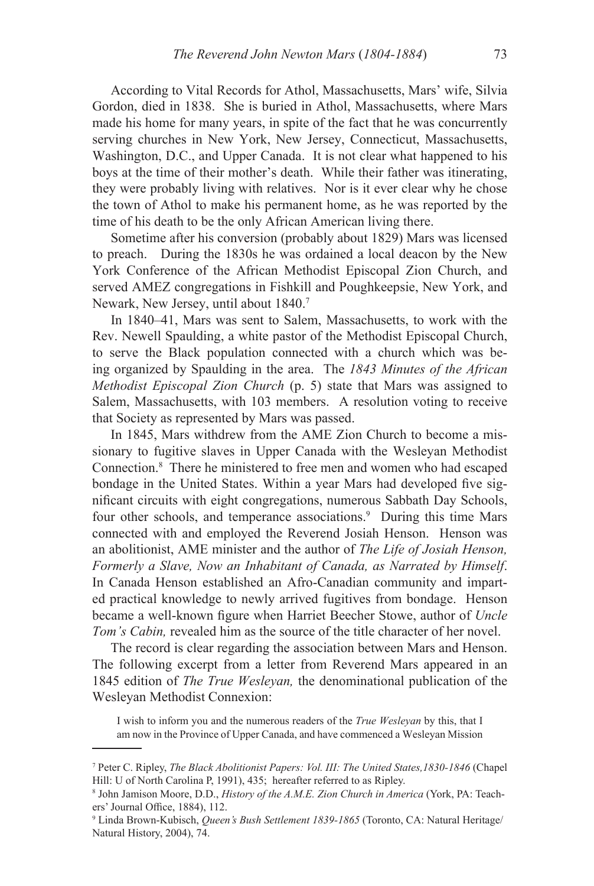According to Vital Records for Athol, Massachusetts, Mars' wife, Silvia Gordon, died in 1838. She is buried in Athol, Massachusetts, where Mars made his home for many years, in spite of the fact that he was concurrently serving churches in New York, New Jersey, Connecticut, Massachusetts, Washington, D.C., and Upper Canada. It is not clear what happened to his boys at the time of their mother's death. While their father was itinerating, they were probably living with relatives. Nor is it ever clear why he chose the town of Athol to make his permanent home, as he was reported by the time of his death to be the only African American living there.

Sometime after his conversion (probably about 1829) Mars was licensed to preach. During the 1830s he was ordained a local deacon by the New York Conference of the African Methodist Episcopal Zion Church, and served AMEZ congregations in Fishkill and Poughkeepsie, New York, and Newark, New Jersey, until about 1840.7

In 1840–41, Mars was sent to Salem, Massachusetts, to work with the Rev. Newell Spaulding, a white pastor of the Methodist Episcopal Church, to serve the Black population connected with a church which was being organized by Spaulding in the area. The *1843 Minutes of the African Methodist Episcopal Zion Church* (p. 5) state that Mars was assigned to Salem, Massachusetts, with 103 members. A resolution voting to receive that Society as represented by Mars was passed.

In 1845, Mars withdrew from the AME Zion Church to become a missionary to fugitive slaves in Upper Canada with the Wesleyan Methodist Connection.8 There he ministered to free men and women who had escaped bondage in the United States. Within a year Mars had developed five significant circuits with eight congregations, numerous Sabbath Day Schools, four other schools, and temperance associations.<sup>9</sup> During this time Mars connected with and employed the Reverend Josiah Henson. Henson was an abolitionist, AME minister and the author of *The Life of Josiah Henson, Formerly a Slave, Now an Inhabitant of Canada, as Narrated by Himself*. In Canada Henson established an Afro-Canadian community and imparted practical knowledge to newly arrived fugitives from bondage. Henson became a well-known figure when Harriet Beecher Stowe, author of *Uncle Tom's Cabin, revealed him as the source of the title character of her novel.* 

The record is clear regarding the association between Mars and Henson. The following excerpt from a letter from Reverend Mars appeared in an 1845 edition of *The True Wesleyan,* the denominational publication of the Wesleyan Methodist Connexion:

I wish to inform you and the numerous readers of the *True Wesleyan* by this, that I am now in the Province of Upper Canada, and have commenced a Wesleyan Mission

<sup>&</sup>lt;sup>7</sup> Peter C. Ripley, *The Black Abolitionist Papers: Vol. III: The United States, 1830-1846* (Chapel Hill: U of North Carolina P, 1991), 435; hereafter referred to as Ripley.

<sup>8</sup> John Jamison Moore, D.D., *History of the A.M.E. Zion Church in America* (York, PA: Teachers' Journal Office, 1884), 112.

<sup>9</sup> Linda Brown-Kubisch, *Queen's Bush Settlement 1839-1865* (Toronto, CA: Natural Heritage/ Natural History, 2004), 74.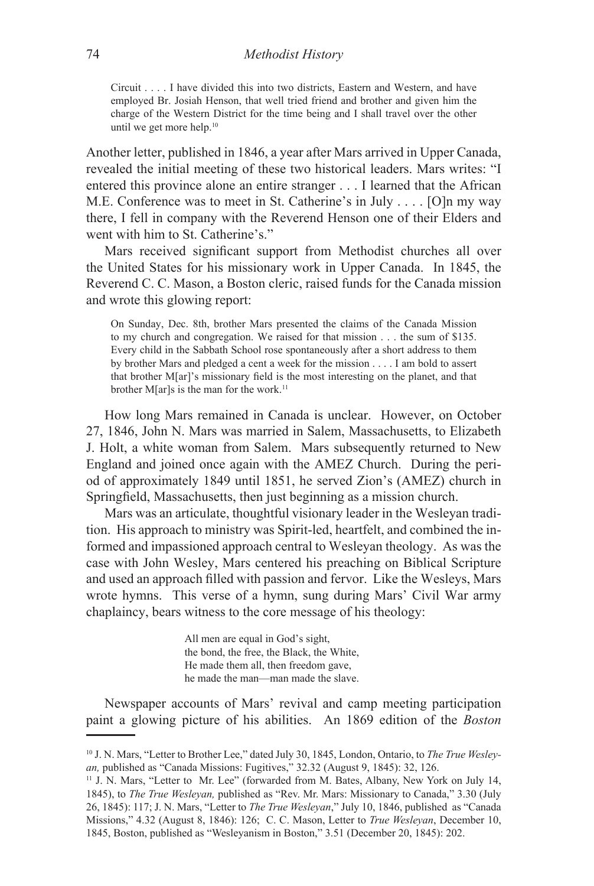Circuit . . . . I have divided this into two districts, Eastern and Western, and have employed Br. Josiah Henson, that well tried friend and brother and given him the charge of the Western District for the time being and I shall travel over the other until we get more help.<sup>10</sup>

Another letter, published in 1846, a year after Mars arrived in Upper Canada, revealed the initial meeting of these two historical leaders. Mars writes: "I entered this province alone an entire stranger . . . I learned that the African M.E. Conference was to meet in St. Catherine's in July . . . . [O]n my way there, I fell in company with the Reverend Henson one of their Elders and went with him to St. Catherine's."

Mars received significant support from Methodist churches all over the United States for his missionary work in Upper Canada. In 1845, the Reverend C. C. Mason, a Boston cleric, raised funds for the Canada mission and wrote this glowing report:

On Sunday, Dec. 8th, brother Mars presented the claims of the Canada Mission to my church and congregation. We raised for that mission . . . the sum of \$135. Every child in the Sabbath School rose spontaneously after a short address to them by brother Mars and pledged a cent a week for the mission . . . . I am bold to assert that brother M[ar]'s missionary field is the most interesting on the planet, and that brother M[ar]s is the man for the work.<sup>11</sup>

How long Mars remained in Canada is unclear. However, on October 27, 1846, John N. Mars was married in Salem, Massachusetts, to Elizabeth J. Holt, a white woman from Salem. Mars subsequently returned to New England and joined once again with the AMEZ Church. During the period of approximately 1849 until 1851, he served Zion's (AMEZ) church in Springfield, Massachusetts, then just beginning as a mission church.

Mars was an articulate, thoughtful visionary leader in the Wesleyan tradition. His approach to ministry was Spirit-led, heartfelt, and combined the informed and impassioned approach central to Wesleyan theology. As was the case with John Wesley, Mars centered his preaching on Biblical Scripture and used an approach filled with passion and fervor. Like the Wesleys, Mars wrote hymns. This verse of a hymn, sung during Mars' Civil War army chaplaincy, bears witness to the core message of his theology:

> All men are equal in God's sight, the bond, the free, the Black, the White, He made them all, then freedom gave, he made the man—man made the slave.

Newspaper accounts of Mars' revival and camp meeting participation paint a glowing picture of his abilities. An 1869 edition of the *Boston* 

<sup>10</sup> J. N. Mars, "Letter to Brother Lee," dated July 30, 1845, London, Ontario, to *The True Wesleyan,* published as "Canada Missions: Fugitives," 32.32 (August 9, 1845): 32, 126.

<sup>11</sup> J. N. Mars, "Letter to Mr. Lee" (forwarded from M. Bates, Albany, New York on July 14, 1845), to *The True Wesleyan,* published as "Rev. Mr. Mars: Missionary to Canada," 3.30 (July 26, 1845): 117; J. N. Mars, "Letter to *The True Wesleyan*," July 10, 1846, published as "Canada Missions," 4.32 (August 8, 1846): 126; C. C. Mason, Letter to *True Wesleyan*, December 10, 1845, Boston, published as "Wesleyanism in Boston," 3.51 (December 20, 1845): 202.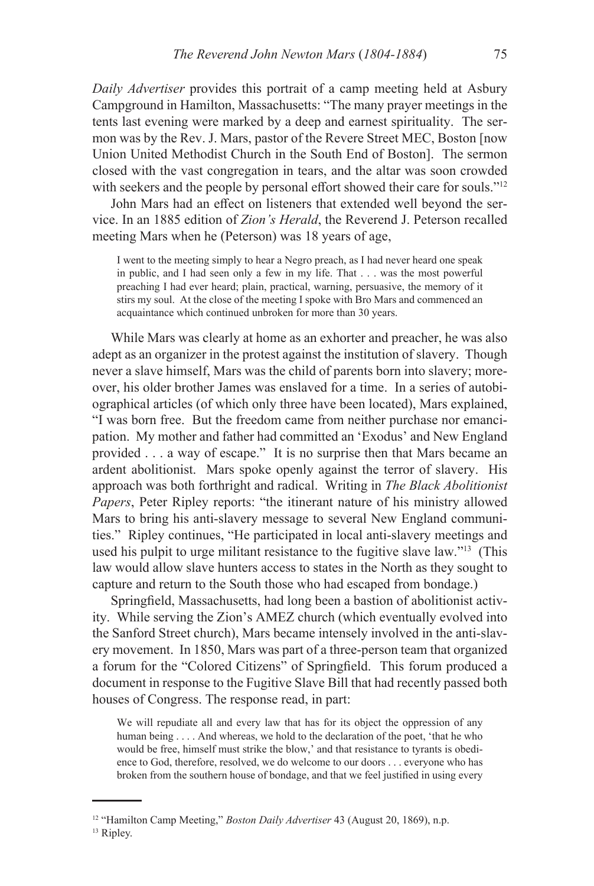*Daily Advertiser* provides this portrait of a camp meeting held at Asbury Campground in Hamilton, Massachusetts: "The many prayer meetings in the tents last evening were marked by a deep and earnest spirituality. The sermon was by the Rev. J. Mars, pastor of the Revere Street MEC, Boston [now Union United Methodist Church in the South End of Boston]. The sermon closed with the vast congregation in tears, and the altar was soon crowded with seekers and the people by personal effort showed their care for souls."<sup>12</sup>

John Mars had an effect on listeners that extended well beyond the service. In an 1885 edition of *Zion's Herald*, the Reverend J. Peterson recalled meeting Mars when he (Peterson) was 18 years of age,

I went to the meeting simply to hear a Negro preach, as I had never heard one speak in public, and I had seen only a few in my life. That . . . was the most powerful preaching I had ever heard; plain, practical, warning, persuasive, the memory of it stirs my soul. At the close of the meeting I spoke with Bro Mars and commenced an acquaintance which continued unbroken for more than 30 years.

While Mars was clearly at home as an exhorter and preacher, he was also adept as an organizer in the protest against the institution of slavery. Though never a slave himself, Mars was the child of parents born into slavery; moreover, his older brother James was enslaved for a time. In a series of autobiographical articles (of which only three have been located), Mars explained, "I was born free. But the freedom came from neither purchase nor emancipation. My mother and father had committed an 'Exodus' and New England provided . . . a way of escape." It is no surprise then that Mars became an ardent abolitionist. Mars spoke openly against the terror of slavery. His approach was both forthright and radical. Writing in *The Black Abolitionist Papers*, Peter Ripley reports: "the itinerant nature of his ministry allowed Mars to bring his anti-slavery message to several New England communities." Ripley continues, "He participated in local anti-slavery meetings and used his pulpit to urge militant resistance to the fugitive slave law."13 (This law would allow slave hunters access to states in the North as they sought to capture and return to the South those who had escaped from bondage.)

Springfield, Massachusetts, had long been a bastion of abolitionist activity. While serving the Zion's AMEZ church (which eventually evolved into the Sanford Street church), Mars became intensely involved in the anti-slavery movement. In 1850, Mars was part of a three-person team that organized a forum for the "Colored Citizens" of Springfield. This forum produced a document in response to the Fugitive Slave Bill that had recently passed both houses of Congress. The response read, in part:

We will repudiate all and every law that has for its object the oppression of any human being . . . . And whereas, we hold to the declaration of the poet, 'that he who would be free, himself must strike the blow,' and that resistance to tyrants is obedience to God, therefore, resolved, we do welcome to our doors . . . everyone who has broken from the southern house of bondage, and that we feel justified in using every

<sup>12</sup> "Hamilton Camp Meeting," *Boston Daily Advertiser* 43 (August 20, 1869), n.p.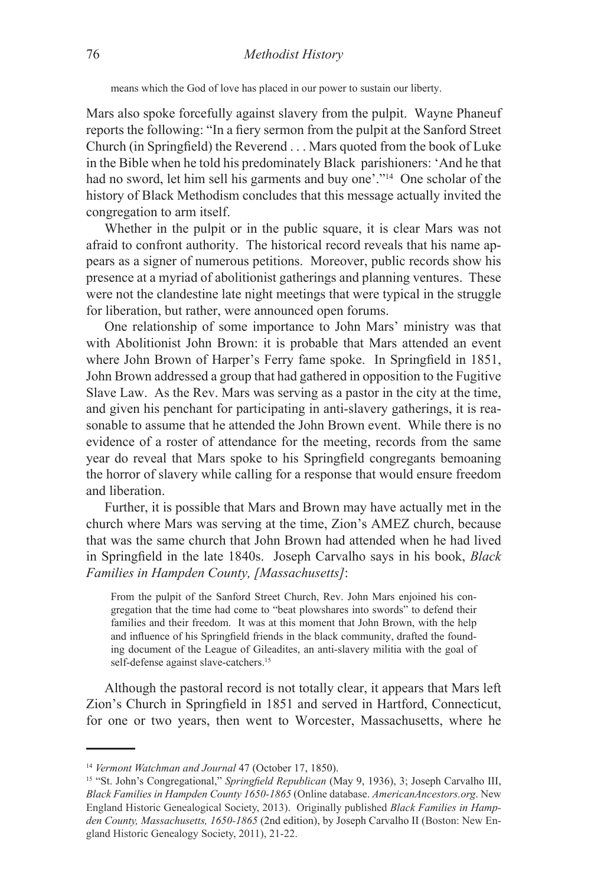means which the God of love has placed in our power to sustain our liberty.

Mars also spoke forcefully against slavery from the pulpit. Wayne Phaneuf reports the following: "In a fiery sermon from the pulpit at the Sanford Street Church (in Springfield) the Reverend . . . Mars quoted from the book of Luke in the Bible when he told his predominately Black parishioners: 'And he that had no sword, let him sell his garments and buy one'."14 One scholar of the history of Black Methodism concludes that this message actually invited the congregation to arm itself.

Whether in the pulpit or in the public square, it is clear Mars was not afraid to confront authority. The historical record reveals that his name appears as a signer of numerous petitions. Moreover, public records show his presence at a myriad of abolitionist gatherings and planning ventures. These were not the clandestine late night meetings that were typical in the struggle for liberation, but rather, were announced open forums.

One relationship of some importance to John Mars' ministry was that with Abolitionist John Brown: it is probable that Mars attended an event where John Brown of Harper's Ferry fame spoke. In Springfield in 1851, John Brown addressed a group that had gathered in opposition to the Fugitive Slave Law. As the Rev. Mars was serving as a pastor in the city at the time, and given his penchant for participating in anti-slavery gatherings, it is reasonable to assume that he attended the John Brown event. While there is no evidence of a roster of attendance for the meeting, records from the same year do reveal that Mars spoke to his Springfield congregants bemoaning the horror of slavery while calling for a response that would ensure freedom and liberation.

Further, it is possible that Mars and Brown may have actually met in the church where Mars was serving at the time, Zion's AMEZ church, because that was the same church that John Brown had attended when he had lived in Springfield in the late 1840s. Joseph Carvalho says in his book, *Black Families in Hampden County, [Massachusetts]*:

From the pulpit of the Sanford Street Church, Rev. John Mars enjoined his congregation that the time had come to "beat plowshares into swords" to defend their families and their freedom. It was at this moment that John Brown, with the help and influence of his Springfield friends in the black community, drafted the founding document of the League of Gileadites, an anti-slavery militia with the goal of self-defense against slave-catchers.<sup>15</sup>

Although the pastoral record is not totally clear, it appears that Mars left Zion's Church in Springfield in 1851 and served in Hartford, Connecticut, for one or two years, then went to Worcester, Massachusetts, where he

<sup>14</sup> *Vermont Watchman and Journal* 47 (October 17, 1850).

<sup>15</sup> "St. John's Congregational," *Springfield Republican* (May 9, 1936), 3; Joseph Carvalho III, *Black Families in Hampden County 1650-1865* (Online database. *AmericanAncestors.org*. New England Historic Genealogical Society, 2013). Originally published *Black Families in Hampden County, Massachusetts, 1650-1865* (2nd edition), by Joseph Carvalho II (Boston: New England Historic Genealogy Society, 2011), 21-22.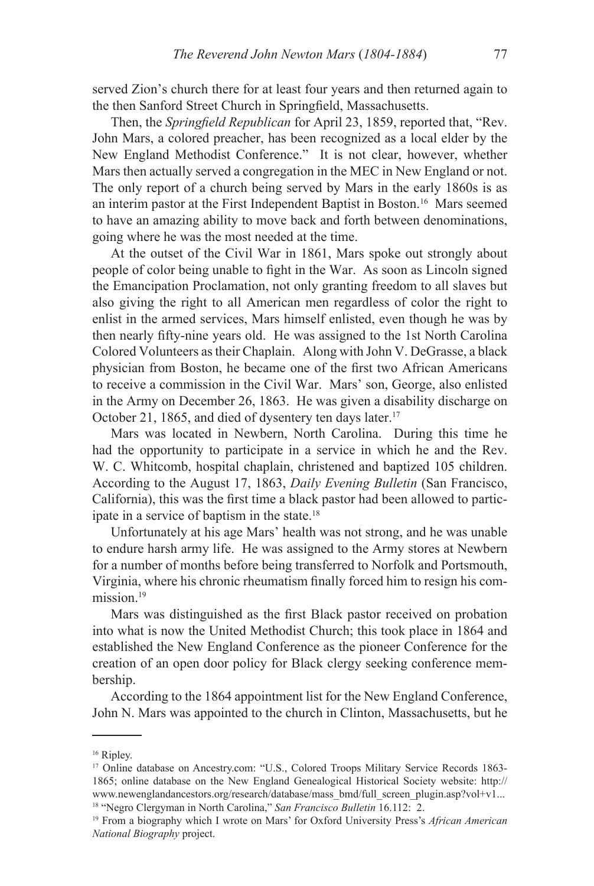served Zion's church there for at least four years and then returned again to the then Sanford Street Church in Springfield, Massachusetts.

Then, the *Springfield Republican* for April 23, 1859, reported that, "Rev. John Mars, a colored preacher, has been recognized as a local elder by the New England Methodist Conference." It is not clear, however, whether Mars then actually served a congregation in the MEC in New England or not. The only report of a church being served by Mars in the early 1860s is as an interim pastor at the First Independent Baptist in Boston.16 Mars seemed to have an amazing ability to move back and forth between denominations, going where he was the most needed at the time.

At the outset of the Civil War in 1861, Mars spoke out strongly about people of color being unable to fight in the War. As soon as Lincoln signed the Emancipation Proclamation, not only granting freedom to all slaves but also giving the right to all American men regardless of color the right to enlist in the armed services, Mars himself enlisted, even though he was by then nearly fifty-nine years old. He was assigned to the 1st North Carolina Colored Volunteers as their Chaplain. Along with John V. DeGrasse, a black physician from Boston, he became one of the first two African Americans to receive a commission in the Civil War. Mars' son, George, also enlisted in the Army on December 26, 1863. He was given a disability discharge on October 21, 1865, and died of dysentery ten days later.<sup>17</sup>

Mars was located in Newbern, North Carolina. During this time he had the opportunity to participate in a service in which he and the Rev. W. C. Whitcomb, hospital chaplain, christened and baptized 105 children. According to the August 17, 1863, *Daily Evening Bulletin* (San Francisco, California), this was the first time a black pastor had been allowed to participate in a service of baptism in the state.<sup>18</sup>

Unfortunately at his age Mars' health was not strong, and he was unable to endure harsh army life. He was assigned to the Army stores at Newbern for a number of months before being transferred to Norfolk and Portsmouth, Virginia, where his chronic rheumatism finally forced him to resign his commission<sup>19</sup>

Mars was distinguished as the first Black pastor received on probation into what is now the United Methodist Church; this took place in 1864 and established the New England Conference as the pioneer Conference for the creation of an open door policy for Black clergy seeking conference membership.

According to the 1864 appointment list for the New England Conference, John N. Mars was appointed to the church in Clinton, Massachusetts, but he

<sup>&</sup>lt;sup>16</sup> Ripley.

<sup>&</sup>lt;sup>17</sup> Online database on Ancestry.com: "U.S., Colored Troops Military Service Records 1863-1865; online database on the New England Genealogical Historical Society website: http:// www.newenglandancestors.org/research/database/mass\_bmd/full\_screen\_plugin.asp?vol+v1... 18 "Negro Clergyman in North Carolina," *San Francisco Bulletin* 16.112: 2.

<sup>19</sup> From a biography which I wrote on Mars' for Oxford University Press's *African American National Biography* project.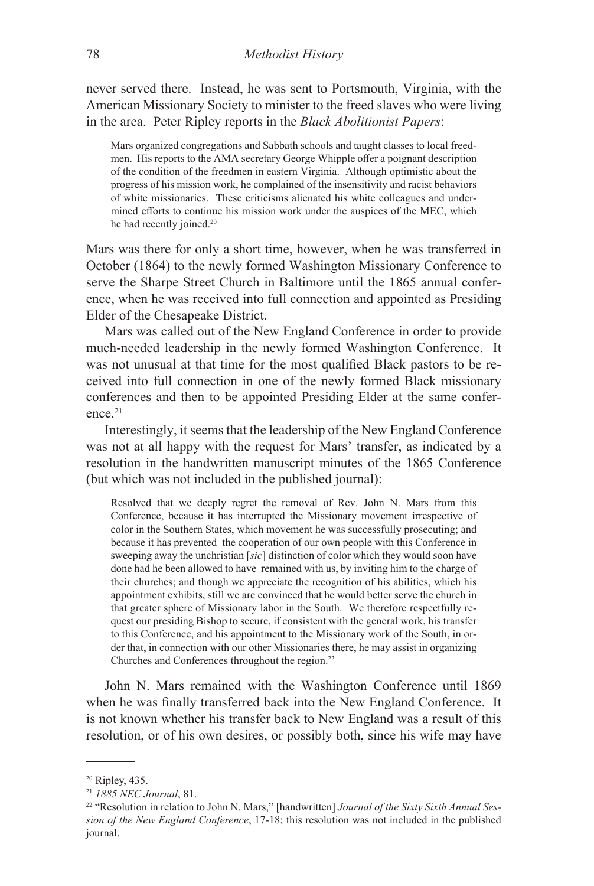never served there. Instead, he was sent to Portsmouth, Virginia, with the American Missionary Society to minister to the freed slaves who were living in the area. Peter Ripley reports in the *Black Abolitionist Papers*:

Mars organized congregations and Sabbath schools and taught classes to local freedmen. His reports to the AMA secretary George Whipple offer a poignant description of the condition of the freedmen in eastern Virginia. Although optimistic about the progress of his mission work, he complained of the insensitivity and racist behaviors of white missionaries. These criticisms alienated his white colleagues and undermined efforts to continue his mission work under the auspices of the MEC, which he had recently joined.<sup>20</sup>

Mars was there for only a short time, however, when he was transferred in October (1864) to the newly formed Washington Missionary Conference to serve the Sharpe Street Church in Baltimore until the 1865 annual conference, when he was received into full connection and appointed as Presiding Elder of the Chesapeake District.

Mars was called out of the New England Conference in order to provide much-needed leadership in the newly formed Washington Conference. It was not unusual at that time for the most qualified Black pastors to be received into full connection in one of the newly formed Black missionary conferences and then to be appointed Presiding Elder at the same conference.<sup>21</sup>

Interestingly, it seems that the leadership of the New England Conference was not at all happy with the request for Mars' transfer, as indicated by a resolution in the handwritten manuscript minutes of the 1865 Conference (but which was not included in the published journal):

Resolved that we deeply regret the removal of Rev. John N. Mars from this Conference, because it has interrupted the Missionary movement irrespective of color in the Southern States, which movement he was successfully prosecuting; and because it has prevented the cooperation of our own people with this Conference in sweeping away the unchristian [*sic*] distinction of color which they would soon have done had he been allowed to have remained with us, by inviting him to the charge of their churches; and though we appreciate the recognition of his abilities, which his appointment exhibits, still we are convinced that he would better serve the church in that greater sphere of Missionary labor in the South. We therefore respectfully request our presiding Bishop to secure, if consistent with the general work, his transfer to this Conference, and his appointment to the Missionary work of the South, in order that, in connection with our other Missionaries there, he may assist in organizing Churches and Conferences throughout the region.22

John N. Mars remained with the Washington Conference until 1869 when he was finally transferred back into the New England Conference. It is not known whether his transfer back to New England was a result of this resolution, or of his own desires, or possibly both, since his wife may have

<sup>20</sup> Ripley, 435.

<sup>21</sup> *1885 NEC Journal*, 81.

<sup>22</sup> "Resolution in relation to John N. Mars," [handwritten] *Journal of the Sixty Sixth Annual Session of the New England Conference*, 17-18; this resolution was not included in the published journal.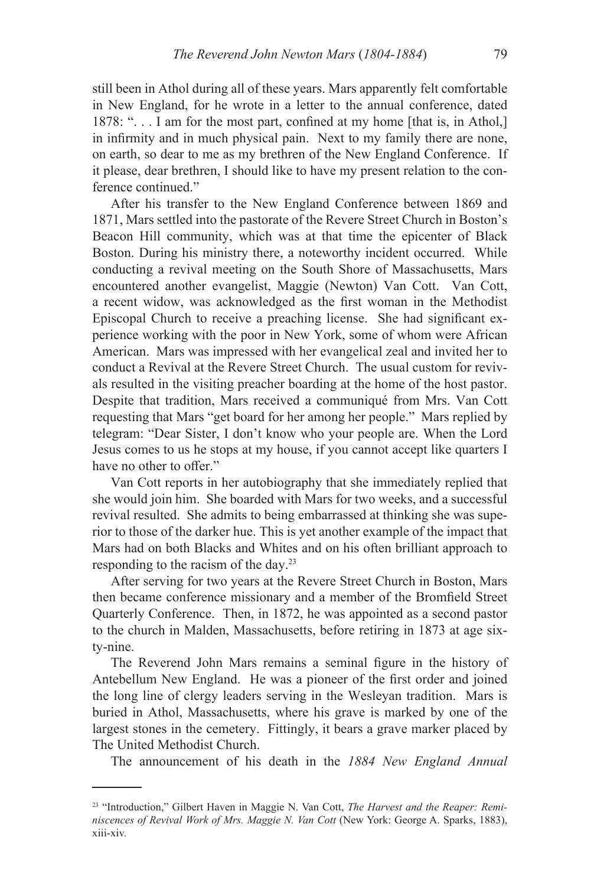still been in Athol during all of these years. Mars apparently felt comfortable in New England, for he wrote in a letter to the annual conference, dated 1878: ". . . I am for the most part, confined at my home [that is, in Athol,] in infirmity and in much physical pain. Next to my family there are none, on earth, so dear to me as my brethren of the New England Conference. If it please, dear brethren, I should like to have my present relation to the conference continued."

After his transfer to the New England Conference between 1869 and 1871, Mars settled into the pastorate of the Revere Street Church in Boston's Beacon Hill community, which was at that time the epicenter of Black Boston. During his ministry there, a noteworthy incident occurred. While conducting a revival meeting on the South Shore of Massachusetts, Mars encountered another evangelist, Maggie (Newton) Van Cott. Van Cott, a recent widow, was acknowledged as the first woman in the Methodist Episcopal Church to receive a preaching license. She had significant experience working with the poor in New York, some of whom were African American. Mars was impressed with her evangelical zeal and invited her to conduct a Revival at the Revere Street Church. The usual custom for revivals resulted in the visiting preacher boarding at the home of the host pastor. Despite that tradition, Mars received a communiqué from Mrs. Van Cott requesting that Mars "get board for her among her people." Mars replied by telegram: "Dear Sister, I don't know who your people are. When the Lord Jesus comes to us he stops at my house, if you cannot accept like quarters I have no other to offer."

Van Cott reports in her autobiography that she immediately replied that she would join him. She boarded with Mars for two weeks, and a successful revival resulted. She admits to being embarrassed at thinking she was superior to those of the darker hue. This is yet another example of the impact that Mars had on both Blacks and Whites and on his often brilliant approach to responding to the racism of the day.23

After serving for two years at the Revere Street Church in Boston, Mars then became conference missionary and a member of the Bromfield Street Quarterly Conference. Then, in 1872, he was appointed as a second pastor to the church in Malden, Massachusetts, before retiring in 1873 at age sixty-nine.

The Reverend John Mars remains a seminal figure in the history of Antebellum New England. He was a pioneer of the first order and joined the long line of clergy leaders serving in the Wesleyan tradition. Mars is buried in Athol, Massachusetts, where his grave is marked by one of the largest stones in the cemetery. Fittingly, it bears a grave marker placed by The United Methodist Church.

The announcement of his death in the *1884 New England Annual* 

<sup>23 &</sup>quot;Introduction," Gilbert Haven in Maggie N. Van Cott, *The Harvest and the Reaper: Reminiscences of Revival Work of Mrs. Maggie N. Van Cott* (New York: George A. Sparks, 1883), xiii-xiv.